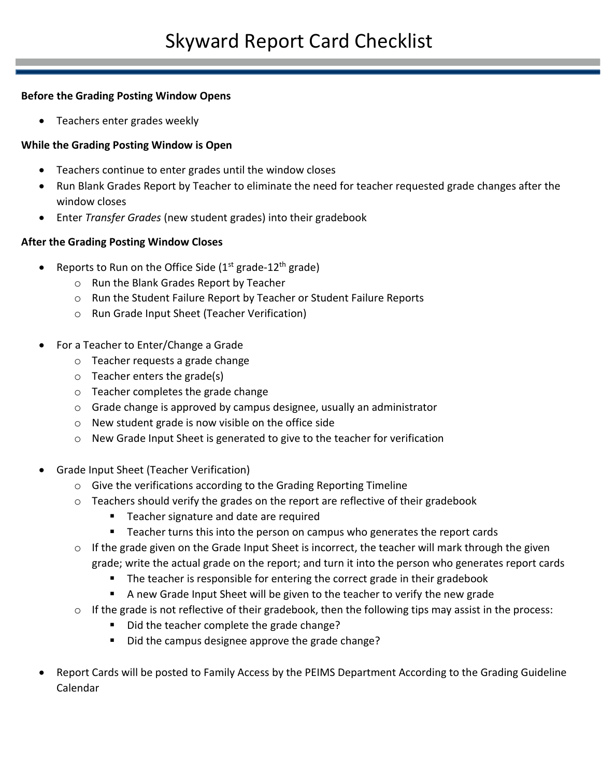## **Before the Grading Posting Window Opens**

• Teachers enter grades weekly

## **While the Grading Posting Window is Open**

- Teachers continue to enter grades until the window closes
- Run Blank Grades Report by Teacher to eliminate the need for teacher requested grade changes after the window closes
- Enter *Transfer Grades* (new student grades) into their gradebook

## **After the Grading Posting Window Closes**

- Reports to Run on the Office Side ( $1<sup>st</sup>$  grade- $12<sup>th</sup>$  grade)
	- o Run the Blank Grades Report by Teacher
	- o Run the Student Failure Report by Teacher or Student Failure Reports
	- o Run Grade Input Sheet (Teacher Verification)
- For a Teacher to Enter/Change a Grade
	- o Teacher requests a grade change
	- o Teacher enters the grade(s)
	- o Teacher completes the grade change
	- o Grade change is approved by campus designee, usually an administrator
	- o New student grade is now visible on the office side
	- o New Grade Input Sheet is generated to give to the teacher for verification
- Grade Input Sheet (Teacher Verification)
	- o Give the verifications according to the Grading Reporting Timeline
	- o Teachers should verify the grades on the report are reflective of their gradebook
		- **Teacher signature and date are required**
		- **Teacher turns this into the person on campus who generates the report cards**
	- o If the grade given on the Grade Input Sheet is incorrect, the teacher will mark through the given grade; write the actual grade on the report; and turn it into the person who generates report cards
		- The teacher is responsible for entering the correct grade in their gradebook
		- A new Grade Input Sheet will be given to the teacher to verify the new grade
	- o If the grade is not reflective of their gradebook, then the following tips may assist in the process:
		- Did the teacher complete the grade change?
		- Did the campus designee approve the grade change?
- Report Cards will be posted to Family Access by the PEIMS Department According to the Grading Guideline Calendar